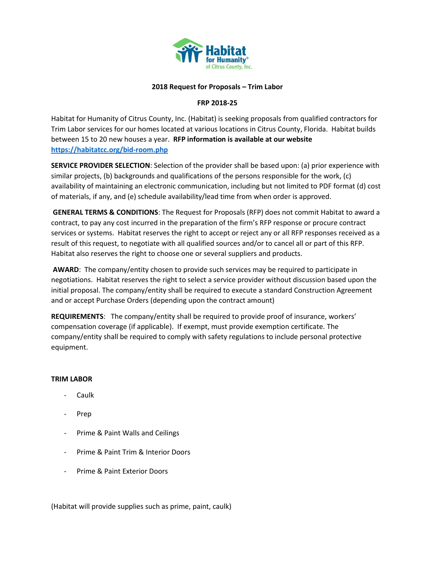

### **2018 Request for Proposals – Trim Labor**

#### **FRP 2018-25**

Habitat for Humanity of Citrus County, Inc. (Habitat) is seeking proposals from qualified contractors for Trim Labor services for our homes located at various locations in Citrus County, Florida. Habitat builds between 15 to 20 new houses a year. **RFP information is available at our website <https://habitatcc.org/bid-room.php>**

**SERVICE PROVIDER SELECTION**: Selection of the provider shall be based upon: (a) prior experience with similar projects, (b) backgrounds and qualifications of the persons responsible for the work, (c) availability of maintaining an electronic communication, including but not limited to PDF format (d) cost of materials, if any, and (e) schedule availability/lead time from when order is approved.

**GENERAL TERMS & CONDITIONS**: The Request for Proposals (RFP) does not commit Habitat to award a contract, to pay any cost incurred in the preparation of the firm's RFP response or procure contract services or systems. Habitat reserves the right to accept or reject any or all RFP responses received as a result of this request, to negotiate with all qualified sources and/or to cancel all or part of this RFP. Habitat also reserves the right to choose one or several suppliers and products.

**AWARD**: The company/entity chosen to provide such services may be required to participate in negotiations. Habitat reserves the right to select a service provider without discussion based upon the initial proposal. The company/entity shall be required to execute a standard Construction Agreement and or accept Purchase Orders (depending upon the contract amount)

**REQUIREMENTS**: The company/entity shall be required to provide proof of insurance, workers' compensation coverage (if applicable). If exempt, must provide exemption certificate. The company/entity shall be required to comply with safety regulations to include personal protective equipment.

#### **TRIM LABOR**

- **Caulk**
- Prep
- Prime & Paint Walls and Ceilings
- Prime & Paint Trim & Interior Doors
- Prime & Paint Exterior Doors

(Habitat will provide supplies such as prime, paint, caulk)